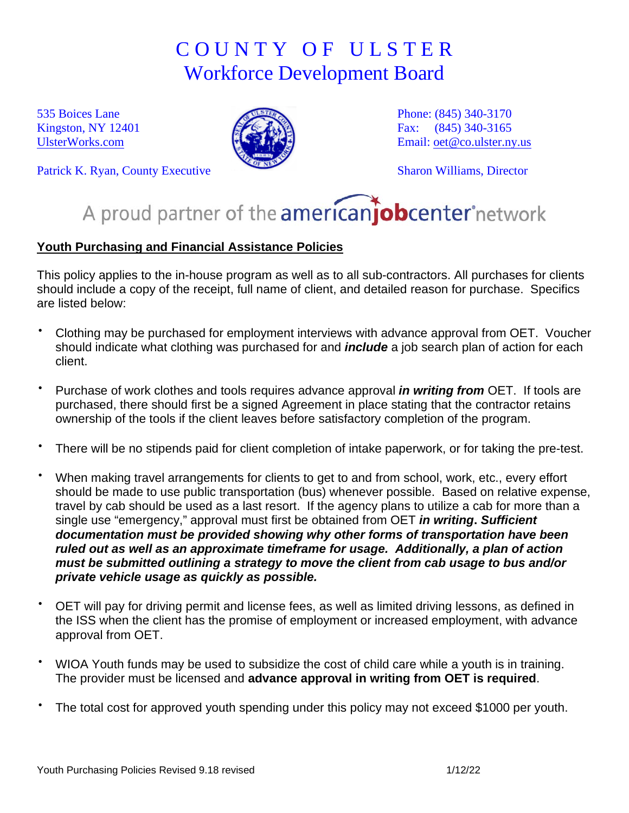## C O U N T Y O F U L S T E R Workforce Development Board

535 Boices Lane Kingston, NY 12401 [UlsterWorks.com](http://www.ulsterworks.com/)



Patrick K. Ryan, County Executive

Phone: (845) 340-3170 Fax: (845) 340-3165 Email: [oet@co.ulster.ny.us](mailto:oet@co.ulster.ny.us)

Sharon Williams, Director

## A proud partner of the americanjobcenter network

## **Youth Purchasing and Financial Assistance Policies**

This policy applies to the in-house program as well as to all sub-contractors. All purchases for clients should include a copy of the receipt, full name of client, and detailed reason for purchase. Specifics are listed below:

- Clothing may be purchased for employment interviews with advance approval from OET. Voucher should indicate what clothing was purchased for and *include* a job search plan of action for each client.
- ⋅ Purchase of work clothes and tools requires advance approval *in writing from* OET. If tools are purchased, there should first be a signed Agreement in place stating that the contractor retains ownership of the tools if the client leaves before satisfactory completion of the program.
- There will be no stipends paid for client completion of intake paperwork, or for taking the pre-test.
- When making travel arrangements for clients to get to and from school, work, etc., every effort should be made to use public transportation (bus) whenever possible. Based on relative expense, travel by cab should be used as a last resort. If the agency plans to utilize a cab for more than a single use "emergency," approval must first be obtained from OET *in writing***.** *Sufficient documentation must be provided showing why other forms of transportation have been ruled out as well as an approximate timeframe for usage. Additionally, a plan of action must be submitted outlining a strategy to move the client from cab usage to bus and/or private vehicle usage as quickly as possible.*
- OET will pay for driving permit and license fees, as well as limited driving lessons, as defined in the ISS when the client has the promise of employment or increased employment, with advance approval from OET.
- WIOA Youth funds may be used to subsidize the cost of child care while a youth is in training. The provider must be licensed and **advance approval in writing from OET is required**.
- The total cost for approved youth spending under this policy may not exceed \$1000 per youth.